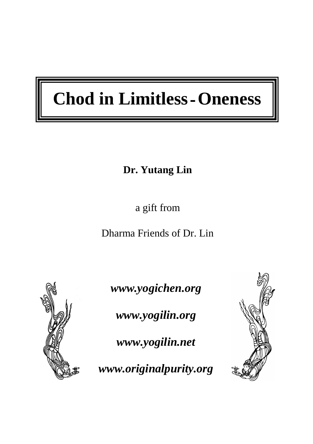# **Chod in Limitless**-**Oneness**

### **Dr. Yutang Lin**

a gift from

Dharma Friends of Dr. Lin



 $\overline{\phantom{a}}$ 

*www.yogichen.org* 

*www.yogilin.org* 

*www.yogilin.net* 

*www.originalpurity.org* 

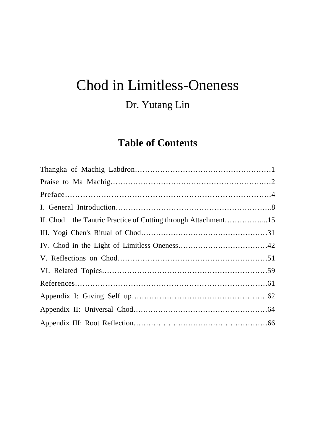# Chod in Limitless-Oneness

### Dr. Yutang Lin

#### **Table of Contents**

| II. Chod—the Tantric Practice of Cutting through Attachment15 |  |
|---------------------------------------------------------------|--|
|                                                               |  |
|                                                               |  |
|                                                               |  |
|                                                               |  |
|                                                               |  |
|                                                               |  |
|                                                               |  |
|                                                               |  |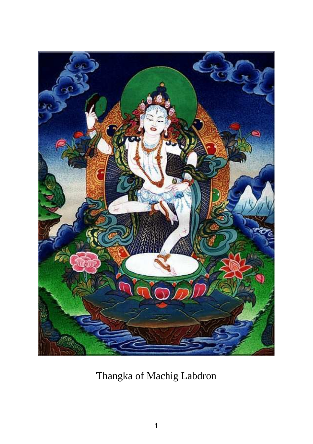

Thangka of Machig Labdron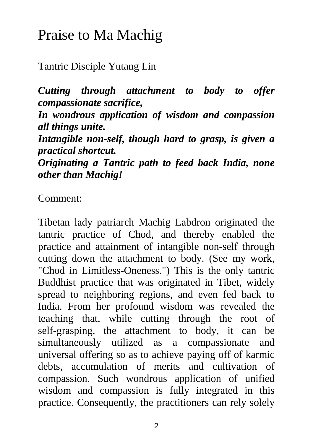# Praise to Ma Machig

Tantric Disciple Yutang Lin

*Cutting through attachment to body to offer compassionate sacrifice,* 

*In wondrous application of wisdom and compassion all things unite.* 

*Intangible non-self, though hard to grasp, is given a practical shortcut.* 

*Originating a Tantric path to feed back India, none other than Machig!* 

Comment:

Tibetan lady patriarch Machig Labdron originated the tantric practice of Chod, and thereby enabled the practice and attainment of intangible non-self through cutting down the attachment to body. (See my work, "Chod in Limitless-Oneness.") This is the only tantric Buddhist practice that was originated in Tibet, widely spread to neighboring regions, and even fed back to India. From her profound wisdom was revealed the teaching that, while cutting through the root of self-grasping, the attachment to body, it can be simultaneously utilized as a compassionate and universal offering so as to achieve paying off of karmic debts, accumulation of merits and cultivation of compassion. Such wondrous application of unified wisdom and compassion is fully integrated in this practice. Consequently, the practitioners can rely solely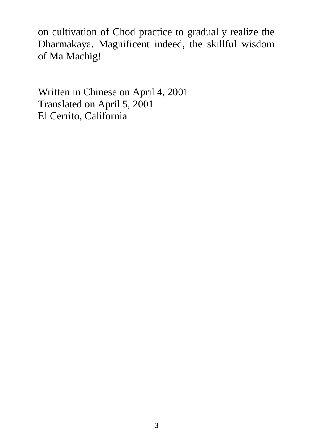on cultivation of Chod practice to gradually realize the Dharmakaya. Magnificent indeed, the skillful wisdom of Ma Machig!

Written in Chinese on April 4, 2001 Translated on April 5, 2001 El Cerrito, California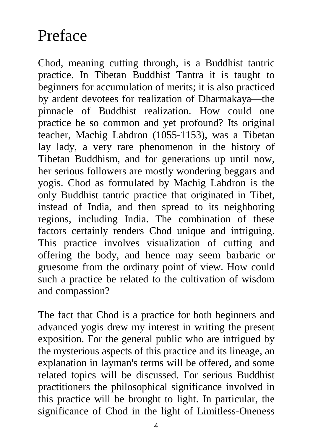# Preface

Chod, meaning cutting through, is a Buddhist tantric practice. In Tibetan Buddhist Tantra it is taught to beginners for accumulation of merits; it is also practiced by ardent devotees for realization of Dharmakaya—the pinnacle of Buddhist realization. How could one practice be so common and yet profound? Its original teacher, Machig Labdron (1055-1153), was a Tibetan lay lady, a very rare phenomenon in the history of Tibetan Buddhism, and for generations up until now, her serious followers are mostly wondering beggars and yogis. Chod as formulated by Machig Labdron is the only Buddhist tantric practice that originated in Tibet, instead of India, and then spread to its neighboring regions, including India. The combination of these factors certainly renders Chod unique and intriguing. This practice involves visualization of cutting and offering the body, and hence may seem barbaric or gruesome from the ordinary point of view. How could such a practice be related to the cultivation of wisdom and compassion?

The fact that Chod is a practice for both beginners and advanced yogis drew my interest in writing the present exposition. For the general public who are intrigued by the mysterious aspects of this practice and its lineage, an explanation in layman's terms will be offered, and some related topics will be discussed. For serious Buddhist practitioners the philosophical significance involved in this practice will be brought to light. In particular, the significance of Chod in the light of Limitless-Oneness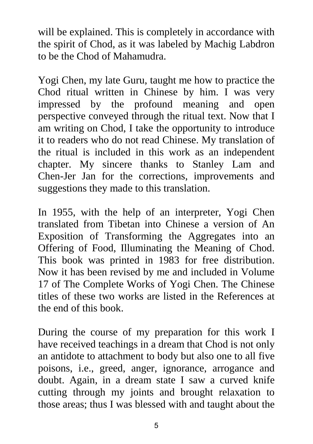will be explained. This is completely in accordance with the spirit of Chod, as it was labeled by Machig Labdron to be the Chod of Mahamudra.

Yogi Chen, my late Guru, taught me how to practice the Chod ritual written in Chinese by him. I was very impressed by the profound meaning and open perspective conveyed through the ritual text. Now that I am writing on Chod, I take the opportunity to introduce it to readers who do not read Chinese. My translation of the ritual is included in this work as an independent chapter. My sincere thanks to Stanley Lam and Chen-Jer Jan for the corrections, improvements and suggestions they made to this translation.

In 1955, with the help of an interpreter, Yogi Chen translated from Tibetan into Chinese a version of An Exposition of Transforming the Aggregates into an Offering of Food, Illuminating the Meaning of Chod. This book was printed in 1983 for free distribution. Now it has been revised by me and included in Volume 17 of The Complete Works of Yogi Chen. The Chinese titles of these two works are listed in the References at the end of this book.

During the course of my preparation for this work I have received teachings in a dream that Chod is not only an antidote to attachment to body but also one to all five poisons, i.e., greed, anger, ignorance, arrogance and doubt. Again, in a dream state I saw a curved knife cutting through my joints and brought relaxation to those areas; thus I was blessed with and taught about the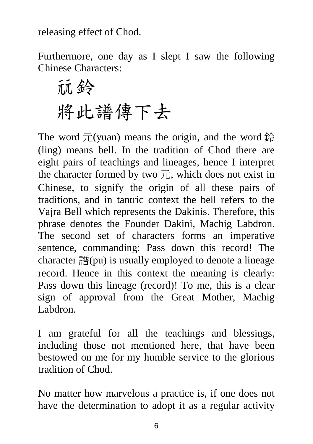releasing effect of Chod.

Furthermore, one day as I slept I saw the following Chinese Characters:

鈴 將此譜傳下去

The word  $\overline{\text{T}}$ (yuan) means the origin, and the word 鈴 (ling) means bell. In the tradition of Chod there are eight pairs of teachings and lineages, hence I interpret the character formed by two  $\vec{\pi}$ , which does not exist in Chinese, to signify the origin of all these pairs of traditions, and in tantric context the bell refers to the Vajra Bell which represents the Dakinis. Therefore, this phrase denotes the Founder Dakini, Machig Labdron. The second set of characters forms an imperative sentence, commanding: Pass down this record! The character  $\frac{20}{31}$ (pu) is usually employed to denote a lineage record. Hence in this context the meaning is clearly: Pass down this lineage (record)! To me, this is a clear sign of approval from the Great Mother, Machig Labdron.

I am grateful for all the teachings and blessings, including those not mentioned here, that have been bestowed on me for my humble service to the glorious tradition of Chod.

No matter how marvelous a practice is, if one does not have the determination to adopt it as a regular activity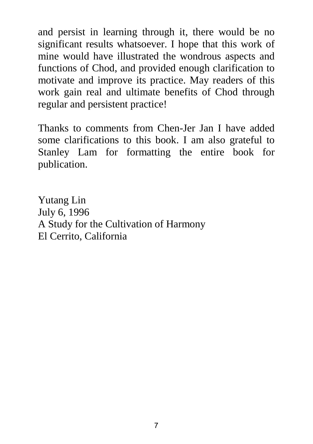and persist in learning through it, there would be no significant results whatsoever. I hope that this work of mine would have illustrated the wondrous aspects and functions of Chod, and provided enough clarification to motivate and improve its practice. May readers of this work gain real and ultimate benefits of Chod through regular and persistent practice!

Thanks to comments from Chen-Jer Jan I have added some clarifications to this book. I am also grateful to Stanley Lam for formatting the entire book for publication.

Yutang Lin July 6, 1996 A Study for the Cultivation of Harmony El Cerrito, California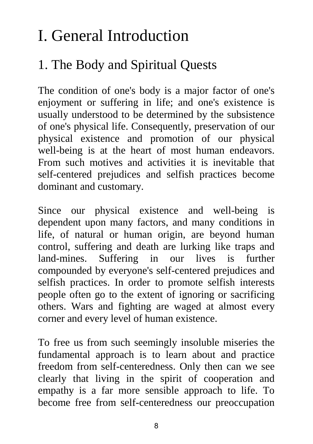# I. General Introduction

### 1. The Body and Spiritual Quests

The condition of one's body is a major factor of one's enjoyment or suffering in life; and one's existence is usually understood to be determined by the subsistence of one's physical life. Consequently, preservation of our physical existence and promotion of our physical well-being is at the heart of most human endeavors. From such motives and activities it is inevitable that self-centered prejudices and selfish practices become dominant and customary.

Since our physical existence and well-being is dependent upon many factors, and many conditions in life, of natural or human origin, are beyond human control, suffering and death are lurking like traps and land-mines. Suffering in our lives is further compounded by everyone's self-centered prejudices and selfish practices. In order to promote selfish interests people often go to the extent of ignoring or sacrificing others. Wars and fighting are waged at almost every corner and every level of human existence.

To free us from such seemingly insoluble miseries the fundamental approach is to learn about and practice freedom from self-centeredness. Only then can we see clearly that living in the spirit of cooperation and empathy is a far more sensible approach to life. To become free from self-centeredness our preoccupation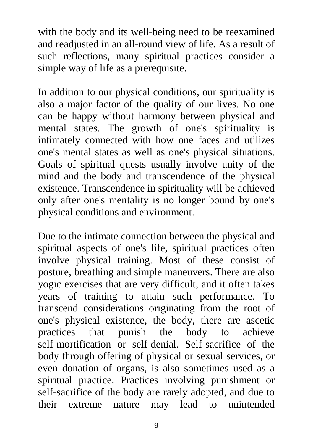with the body and its well-being need to be reexamined and readjusted in an all-round view of life. As a result of such reflections, many spiritual practices consider a simple way of life as a prerequisite.

In addition to our physical conditions, our spirituality is also a major factor of the quality of our lives. No one can be happy without harmony between physical and mental states. The growth of one's spirituality is intimately connected with how one faces and utilizes one's mental states as well as one's physical situations. Goals of spiritual quests usually involve unity of the mind and the body and transcendence of the physical existence. Transcendence in spirituality will be achieved only after one's mentality is no longer bound by one's physical conditions and environment.

Due to the intimate connection between the physical and spiritual aspects of one's life, spiritual practices often involve physical training. Most of these consist of posture, breathing and simple maneuvers. There are also yogic exercises that are very difficult, and it often takes years of training to attain such performance. To transcend considerations originating from the root of one's physical existence, the body, there are ascetic practices that punish the body to achieve self-mortification or self-denial. Self-sacrifice of the body through offering of physical or sexual services, or even donation of organs, is also sometimes used as a spiritual practice. Practices involving punishment or self-sacrifice of the body are rarely adopted, and due to their extreme nature may lead to unintended

9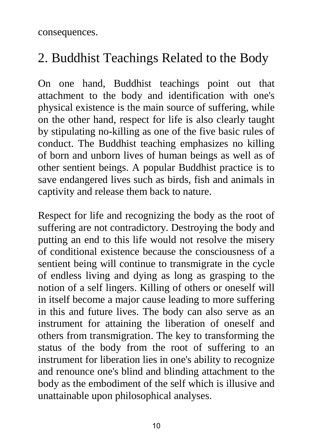consequences.

### 2. Buddhist Teachings Related to the Body

On one hand, Buddhist teachings point out that attachment to the body and identification with one's physical existence is the main source of suffering, while on the other hand, respect for life is also clearly taught by stipulating no-killing as one of the five basic rules of conduct. The Buddhist teaching emphasizes no killing of born and unborn lives of human beings as well as of other sentient beings. A popular Buddhist practice is to save endangered lives such as birds, fish and animals in captivity and release them back to nature.

Respect for life and recognizing the body as the root of suffering are not contradictory. Destroying the body and putting an end to this life would not resolve the misery of conditional existence because the consciousness of a sentient being will continue to transmigrate in the cycle of endless living and dying as long as grasping to the notion of a self lingers. Killing of others or oneself will in itself become a major cause leading to more suffering in this and future lives. The body can also serve as an instrument for attaining the liberation of oneself and others from transmigration. The key to transforming the status of the body from the root of suffering to an instrument for liberation lies in one's ability to recognize and renounce one's blind and blinding attachment to the body as the embodiment of the self which is illusive and unattainable upon philosophical analyses.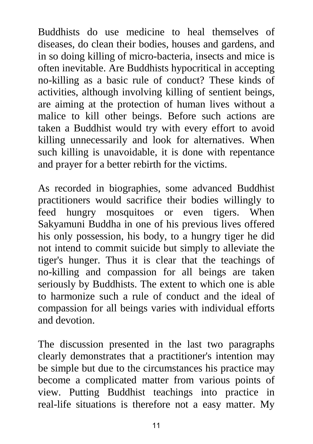Buddhists do use medicine to heal themselves of diseases, do clean their bodies, houses and gardens, and in so doing killing of micro-bacteria, insects and mice is often inevitable. Are Buddhists hypocritical in accepting no-killing as a basic rule of conduct? These kinds of activities, although involving killing of sentient beings, are aiming at the protection of human lives without a malice to kill other beings. Before such actions are taken a Buddhist would try with every effort to avoid killing unnecessarily and look for alternatives. When such killing is unavoidable, it is done with repentance and prayer for a better rebirth for the victims.

As recorded in biographies, some advanced Buddhist practitioners would sacrifice their bodies willingly to feed hungry mosquitoes or even tigers. When Sakyamuni Buddha in one of his previous lives offered his only possession, his body, to a hungry tiger he did not intend to commit suicide but simply to alleviate the tiger's hunger. Thus it is clear that the teachings of no-killing and compassion for all beings are taken seriously by Buddhists. The extent to which one is able to harmonize such a rule of conduct and the ideal of compassion for all beings varies with individual efforts and devotion.

The discussion presented in the last two paragraphs clearly demonstrates that a practitioner's intention may be simple but due to the circumstances his practice may become a complicated matter from various points of view. Putting Buddhist teachings into practice in real-life situations is therefore not a easy matter. My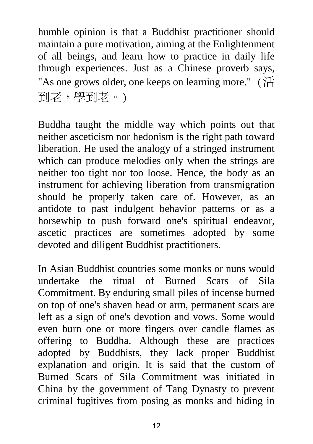humble opinion is that a Buddhist practitioner should maintain a pure motivation, aiming at the Enlightenment of all beings, and learn how to practice in daily life through experiences. Just as a Chinese proverb says, "As one grows older, one keeps on learning more." (活 到老,學到老。)

Buddha taught the middle way which points out that neither asceticism nor hedonism is the right path toward liberation. He used the analogy of a stringed instrument which can produce melodies only when the strings are neither too tight nor too loose. Hence, the body as an instrument for achieving liberation from transmigration should be properly taken care of. However, as an antidote to past indulgent behavior patterns or as a horsewhip to push forward one's spiritual endeavor, ascetic practices are sometimes adopted by some devoted and diligent Buddhist practitioners.

In Asian Buddhist countries some monks or nuns would undertake the ritual of Burned Scars of Sila Commitment. By enduring small piles of incense burned on top of one's shaven head or arm, permanent scars are left as a sign of one's devotion and vows. Some would even burn one or more fingers over candle flames as offering to Buddha. Although these are practices adopted by Buddhists, they lack proper Buddhist explanation and origin. It is said that the custom of Burned Scars of Sila Commitment was initiated in China by the government of Tang Dynasty to prevent criminal fugitives from posing as monks and hiding in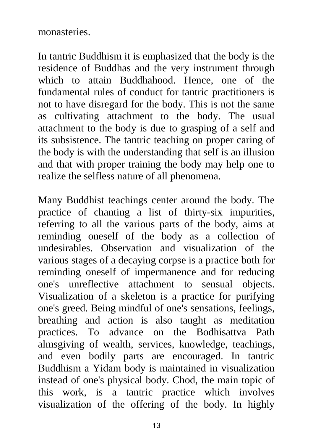#### monasteries.

In tantric Buddhism it is emphasized that the body is the residence of Buddhas and the very instrument through which to attain Buddhahood. Hence, one of the fundamental rules of conduct for tantric practitioners is not to have disregard for the body. This is not the same as cultivating attachment to the body. The usual attachment to the body is due to grasping of a self and its subsistence. The tantric teaching on proper caring of the body is with the understanding that self is an illusion and that with proper training the body may help one to realize the selfless nature of all phenomena.

Many Buddhist teachings center around the body. The practice of chanting a list of thirty-six impurities, referring to all the various parts of the body, aims at reminding oneself of the body as a collection of undesirables. Observation and visualization of the various stages of a decaying corpse is a practice both for reminding oneself of impermanence and for reducing one's unreflective attachment to sensual objects. Visualization of a skeleton is a practice for purifying one's greed. Being mindful of one's sensations, feelings, breathing and action is also taught as meditation practices. To advance on the Bodhisattva Path almsgiving of wealth, services, knowledge, teachings, and even bodily parts are encouraged. In tantric Buddhism a Yidam body is maintained in visualization instead of one's physical body. Chod, the main topic of this work, is a tantric practice which involves visualization of the offering of the body. In highly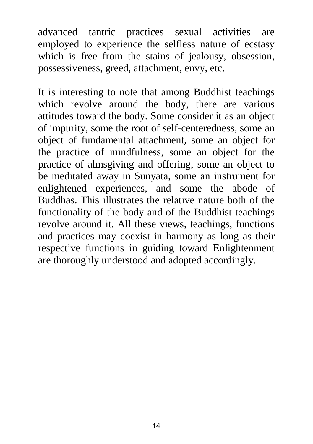advanced tantric practices sexual activities are employed to experience the selfless nature of ecstasy which is free from the stains of jealousy, obsession, possessiveness, greed, attachment, envy, etc.

It is interesting to note that among Buddhist teachings which revolve around the body, there are various attitudes toward the body. Some consider it as an object of impurity, some the root of self-centeredness, some an object of fundamental attachment, some an object for the practice of mindfulness, some an object for the practice of almsgiving and offering, some an object to be meditated away in Sunyata, some an instrument for enlightened experiences, and some the abode of Buddhas. This illustrates the relative nature both of the functionality of the body and of the Buddhist teachings revolve around it. All these views, teachings, functions and practices may coexist in harmony as long as their respective functions in guiding toward Enlightenment are thoroughly understood and adopted accordingly.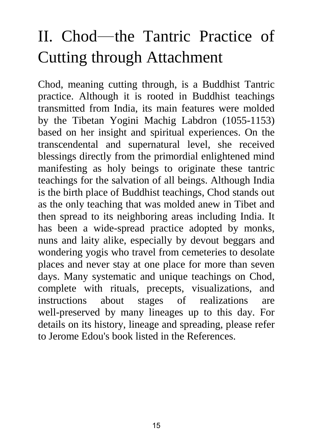# II. Chod─the Tantric Practice of Cutting through Attachment

Chod, meaning cutting through, is a Buddhist Tantric practice. Although it is rooted in Buddhist teachings transmitted from India, its main features were molded by the Tibetan Yogini Machig Labdron (1055-1153) based on her insight and spiritual experiences. On the transcendental and supernatural level, she received blessings directly from the primordial enlightened mind manifesting as holy beings to originate these tantric teachings for the salvation of all beings. Although India is the birth place of Buddhist teachings, Chod stands out as the only teaching that was molded anew in Tibet and then spread to its neighboring areas including India. It has been a wide-spread practice adopted by monks, nuns and laity alike, especially by devout beggars and wondering yogis who travel from cemeteries to desolate places and never stay at one place for more than seven days. Many systematic and unique teachings on Chod, complete with rituals, precepts, visualizations, and instructions about stages of realizations are well-preserved by many lineages up to this day. For details on its history, lineage and spreading, please refer to Jerome Edou's book listed in the References.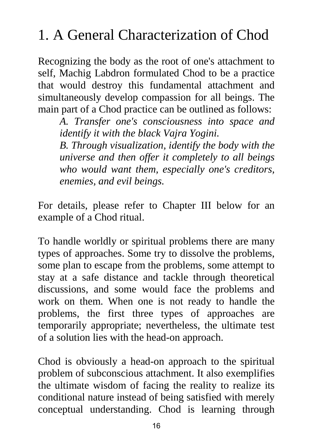# 1. A General Characterization of Chod

Recognizing the body as the root of one's attachment to self, Machig Labdron formulated Chod to be a practice that would destroy this fundamental attachment and simultaneously develop compassion for all beings. The main part of a Chod practice can be outlined as follows:

*A. Transfer one's consciousness into space and identify it with the black Vajra Yogini.* 

*B. Through visualization, identify the body with the universe and then offer it completely to all beings who would want them, especially one's creditors, enemies, and evil beings.* 

For details, please refer to Chapter III below for an example of a Chod ritual.

To handle worldly or spiritual problems there are many types of approaches. Some try to dissolve the problems, some plan to escape from the problems, some attempt to stay at a safe distance and tackle through theoretical discussions, and some would face the problems and work on them. When one is not ready to handle the problems, the first three types of approaches are temporarily appropriate; nevertheless, the ultimate test of a solution lies with the head-on approach.

Chod is obviously a head-on approach to the spiritual problem of subconscious attachment. It also exemplifies the ultimate wisdom of facing the reality to realize its conditional nature instead of being satisfied with merely conceptual understanding. Chod is learning through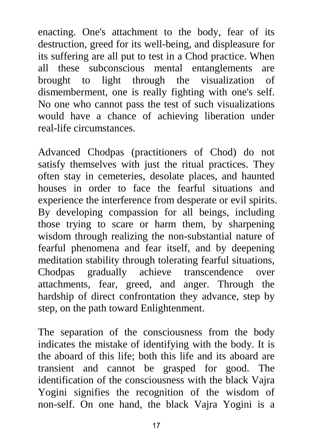enacting. One's attachment to the body, fear of its destruction, greed for its well-being, and displeasure for its suffering are all put to test in a Chod practice. When all these subconscious mental entanglements are brought to light through the visualization of dismemberment, one is really fighting with one's self. No one who cannot pass the test of such visualizations would have a chance of achieving liberation under real-life circumstances.

Advanced Chodpas (practitioners of Chod) do not satisfy themselves with just the ritual practices. They often stay in cemeteries, desolate places, and haunted houses in order to face the fearful situations and experience the interference from desperate or evil spirits. By developing compassion for all beings, including those trying to scare or harm them, by sharpening wisdom through realizing the non-substantial nature of fearful phenomena and fear itself, and by deepening meditation stability through tolerating fearful situations, Chodpas gradually achieve transcendence over attachments, fear, greed, and anger. Through the hardship of direct confrontation they advance, step by step, on the path toward Enlightenment.

The separation of the consciousness from the body indicates the mistake of identifying with the body. It is the aboard of this life; both this life and its aboard are transient and cannot be grasped for good. The identification of the consciousness with the black Vajra Yogini signifies the recognition of the wisdom of non-self. On one hand, the black Vajra Yogini is a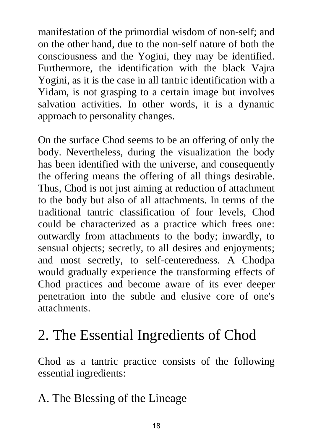manifestation of the primordial wisdom of non-self; and on the other hand, due to the non-self nature of both the consciousness and the Yogini, they may be identified. Furthermore, the identification with the black Vajra Yogini, as it is the case in all tantric identification with a Yidam, is not grasping to a certain image but involves salvation activities. In other words, it is a dynamic approach to personality changes.

On the surface Chod seems to be an offering of only the body. Nevertheless, during the visualization the body has been identified with the universe, and consequently the offering means the offering of all things desirable. Thus, Chod is not just aiming at reduction of attachment to the body but also of all attachments. In terms of the traditional tantric classification of four levels, Chod could be characterized as a practice which frees one: outwardly from attachments to the body; inwardly, to sensual objects; secretly, to all desires and enjoyments; and most secretly, to self-centeredness. A Chodpa would gradually experience the transforming effects of Chod practices and become aware of its ever deeper penetration into the subtle and elusive core of one's attachments.

# 2. The Essential Ingredients of Chod

Chod as a tantric practice consists of the following essential ingredients:

### A. The Blessing of the Lineage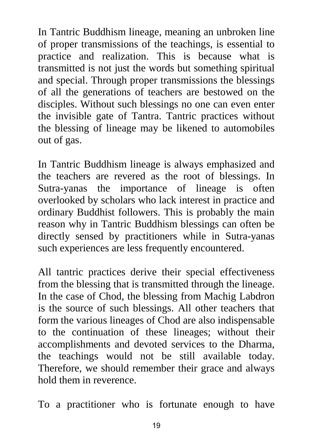In Tantric Buddhism lineage, meaning an unbroken line of proper transmissions of the teachings, is essential to practice and realization. This is because what is transmitted is not just the words but something spiritual and special. Through proper transmissions the blessings of all the generations of teachers are bestowed on the disciples. Without such blessings no one can even enter the invisible gate of Tantra. Tantric practices without the blessing of lineage may be likened to automobiles out of gas.

In Tantric Buddhism lineage is always emphasized and the teachers are revered as the root of blessings. In Sutra-yanas the importance of lineage is often overlooked by scholars who lack interest in practice and ordinary Buddhist followers. This is probably the main reason why in Tantric Buddhism blessings can often be directly sensed by practitioners while in Sutra-yanas such experiences are less frequently encountered.

All tantric practices derive their special effectiveness from the blessing that is transmitted through the lineage. In the case of Chod, the blessing from Machig Labdron is the source of such blessings. All other teachers that form the various lineages of Chod are also indispensable to the continuation of these lineages; without their accomplishments and devoted services to the Dharma, the teachings would not be still available today. Therefore, we should remember their grace and always hold them in reverence.

To a practitioner who is fortunate enough to have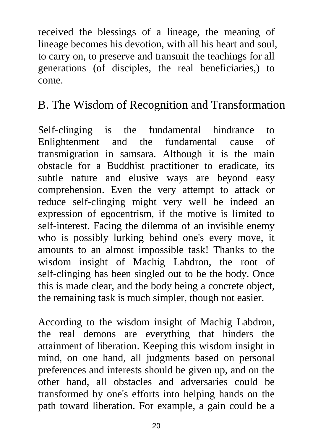received the blessings of a lineage, the meaning of lineage becomes his devotion, with all his heart and soul, to carry on, to preserve and transmit the teachings for all generations (of disciples, the real beneficiaries,) to come.

### B. The Wisdom of Recognition and Transformation

Self-clinging is the fundamental hindrance to Enlightenment and the fundamental cause of transmigration in samsara. Although it is the main obstacle for a Buddhist practitioner to eradicate, its subtle nature and elusive ways are beyond easy comprehension. Even the very attempt to attack or reduce self-clinging might very well be indeed an expression of egocentrism, if the motive is limited to self-interest. Facing the dilemma of an invisible enemy who is possibly lurking behind one's every move, it amounts to an almost impossible task! Thanks to the wisdom insight of Machig Labdron, the root of self-clinging has been singled out to be the body. Once this is made clear, and the body being a concrete object, the remaining task is much simpler, though not easier.

According to the wisdom insight of Machig Labdron, the real demons are everything that hinders the attainment of liberation. Keeping this wisdom insight in mind, on one hand, all judgments based on personal preferences and interests should be given up, and on the other hand, all obstacles and adversaries could be transformed by one's efforts into helping hands on the path toward liberation. For example, a gain could be a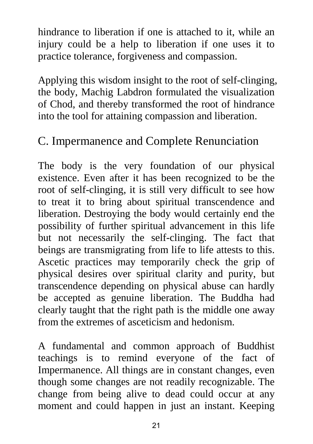hindrance to liberation if one is attached to it, while an injury could be a help to liberation if one uses it to practice tolerance, forgiveness and compassion.

Applying this wisdom insight to the root of self-clinging, the body, Machig Labdron formulated the visualization of Chod, and thereby transformed the root of hindrance into the tool for attaining compassion and liberation.

### C. Impermanence and Complete Renunciation

The body is the very foundation of our physical existence. Even after it has been recognized to be the root of self-clinging, it is still very difficult to see how to treat it to bring about spiritual transcendence and liberation. Destroying the body would certainly end the possibility of further spiritual advancement in this life but not necessarily the self-clinging. The fact that beings are transmigrating from life to life attests to this. Ascetic practices may temporarily check the grip of physical desires over spiritual clarity and purity, but transcendence depending on physical abuse can hardly be accepted as genuine liberation. The Buddha had clearly taught that the right path is the middle one away from the extremes of asceticism and hedonism.

A fundamental and common approach of Buddhist teachings is to remind everyone of the fact of Impermanence. All things are in constant changes, even though some changes are not readily recognizable. The change from being alive to dead could occur at any moment and could happen in just an instant. Keeping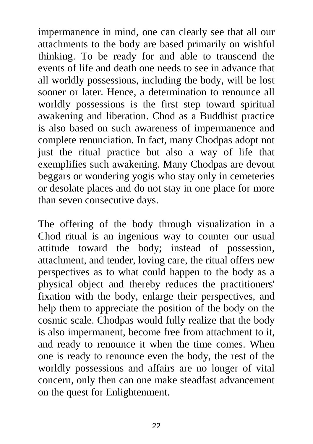impermanence in mind, one can clearly see that all our attachments to the body are based primarily on wishful thinking. To be ready for and able to transcend the events of life and death one needs to see in advance that all worldly possessions, including the body, will be lost sooner or later. Hence, a determination to renounce all worldly possessions is the first step toward spiritual awakening and liberation. Chod as a Buddhist practice is also based on such awareness of impermanence and complete renunciation. In fact, many Chodpas adopt not just the ritual practice but also a way of life that exemplifies such awakening. Many Chodpas are devout beggars or wondering yogis who stay only in cemeteries or desolate places and do not stay in one place for more than seven consecutive days.

The offering of the body through visualization in a Chod ritual is an ingenious way to counter our usual attitude toward the body; instead of possession, attachment, and tender, loving care, the ritual offers new perspectives as to what could happen to the body as a physical object and thereby reduces the practitioners' fixation with the body, enlarge their perspectives, and help them to appreciate the position of the body on the cosmic scale. Chodpas would fully realize that the body is also impermanent, become free from attachment to it, and ready to renounce it when the time comes. When one is ready to renounce even the body, the rest of the worldly possessions and affairs are no longer of vital concern, only then can one make steadfast advancement on the quest for Enlightenment.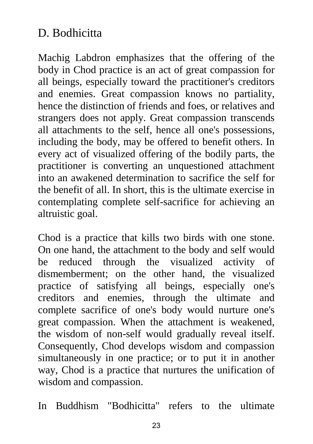### D. Bodhicitta

Machig Labdron emphasizes that the offering of the body in Chod practice is an act of great compassion for all beings, especially toward the practitioner's creditors and enemies. Great compassion knows no partiality, hence the distinction of friends and foes, or relatives and strangers does not apply. Great compassion transcends all attachments to the self, hence all one's possessions, including the body, may be offered to benefit others. In every act of visualized offering of the bodily parts, the practitioner is converting an unquestioned attachment into an awakened determination to sacrifice the self for the benefit of all. In short, this is the ultimate exercise in contemplating complete self-sacrifice for achieving an altruistic goal.

Chod is a practice that kills two birds with one stone. On one hand, the attachment to the body and self would be reduced through the visualized activity of dismemberment; on the other hand, the visualized practice of satisfying all beings, especially one's creditors and enemies, through the ultimate and complete sacrifice of one's body would nurture one's great compassion. When the attachment is weakened, the wisdom of non-self would gradually reveal itself. Consequently, Chod develops wisdom and compassion simultaneously in one practice; or to put it in another way, Chod is a practice that nurtures the unification of wisdom and compassion.

In Buddhism "Bodhicitta" refers to the ultimate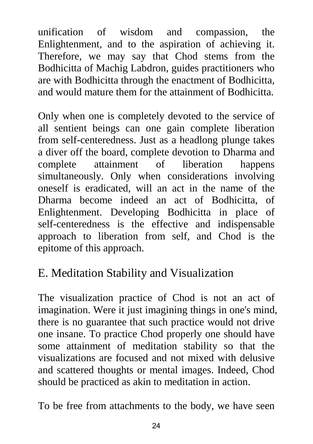unification of wisdom and compassion, the Enlightenment, and to the aspiration of achieving it. Therefore, we may say that Chod stems from the Bodhicitta of Machig Labdron, guides practitioners who are with Bodhicitta through the enactment of Bodhicitta, and would mature them for the attainment of Bodhicitta.

Only when one is completely devoted to the service of all sentient beings can one gain complete liberation from self-centeredness. Just as a headlong plunge takes a diver off the board, complete devotion to Dharma and complete attainment of liberation happens simultaneously. Only when considerations involving oneself is eradicated, will an act in the name of the Dharma become indeed an act of Bodhicitta, of Enlightenment. Developing Bodhicitta in place of self-centeredness is the effective and indispensable approach to liberation from self, and Chod is the epitome of this approach.

### E. Meditation Stability and Visualization

The visualization practice of Chod is not an act of imagination. Were it just imagining things in one's mind, there is no guarantee that such practice would not drive one insane. To practice Chod properly one should have some attainment of meditation stability so that the visualizations are focused and not mixed with delusive and scattered thoughts or mental images. Indeed, Chod should be practiced as akin to meditation in action.

To be free from attachments to the body, we have seen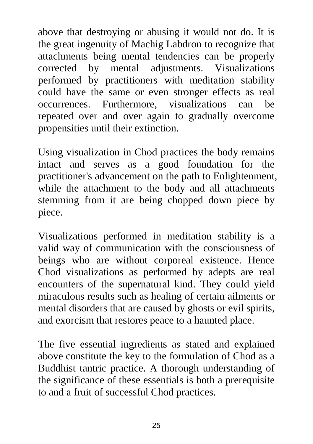above that destroying or abusing it would not do. It is the great ingenuity of Machig Labdron to recognize that attachments being mental tendencies can be properly corrected by mental adjustments. Visualizations performed by practitioners with meditation stability could have the same or even stronger effects as real occurrences. Furthermore, visualizations can be repeated over and over again to gradually overcome propensities until their extinction.

Using visualization in Chod practices the body remains intact and serves as a good foundation for the practitioner's advancement on the path to Enlightenment, while the attachment to the body and all attachments stemming from it are being chopped down piece by piece.

Visualizations performed in meditation stability is a valid way of communication with the consciousness of beings who are without corporeal existence. Hence Chod visualizations as performed by adepts are real encounters of the supernatural kind. They could yield miraculous results such as healing of certain ailments or mental disorders that are caused by ghosts or evil spirits, and exorcism that restores peace to a haunted place.

The five essential ingredients as stated and explained above constitute the key to the formulation of Chod as a Buddhist tantric practice. A thorough understanding of the significance of these essentials is both a prerequisite to and a fruit of successful Chod practices.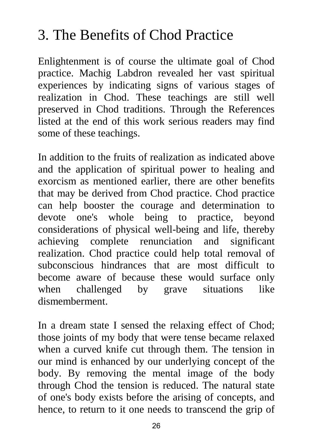# 3. The Benefits of Chod Practice

Enlightenment is of course the ultimate goal of Chod practice. Machig Labdron revealed her vast spiritual experiences by indicating signs of various stages of realization in Chod. These teachings are still well preserved in Chod traditions. Through the References listed at the end of this work serious readers may find some of these teachings.

In addition to the fruits of realization as indicated above and the application of spiritual power to healing and exorcism as mentioned earlier, there are other benefits that may be derived from Chod practice. Chod practice can help booster the courage and determination to devote one's whole being to practice, beyond considerations of physical well-being and life, thereby achieving complete renunciation and significant realization. Chod practice could help total removal of subconscious hindrances that are most difficult to become aware of because these would surface only when challenged by grave situations like dismemberment.

In a dream state I sensed the relaxing effect of Chod; those joints of my body that were tense became relaxed when a curved knife cut through them. The tension in our mind is enhanced by our underlying concept of the body. By removing the mental image of the body through Chod the tension is reduced. The natural state of one's body exists before the arising of concepts, and hence, to return to it one needs to transcend the grip of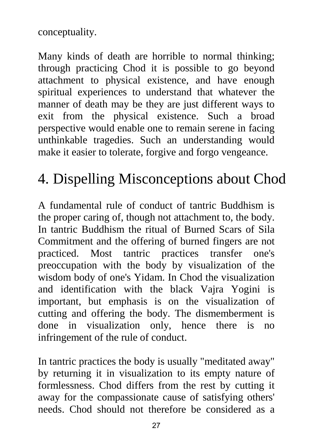conceptuality.

Many kinds of death are horrible to normal thinking; through practicing Chod it is possible to go beyond attachment to physical existence, and have enough spiritual experiences to understand that whatever the manner of death may be they are just different ways to exit from the physical existence. Such a broad perspective would enable one to remain serene in facing unthinkable tragedies. Such an understanding would make it easier to tolerate, forgive and forgo vengeance.

# 4. Dispelling Misconceptions about Chod

A fundamental rule of conduct of tantric Buddhism is the proper caring of, though not attachment to, the body. In tantric Buddhism the ritual of Burned Scars of Sila Commitment and the offering of burned fingers are not practiced. Most tantric practices transfer one's preoccupation with the body by visualization of the wisdom body of one's Yidam. In Chod the visualization and identification with the black Vajra Yogini is important, but emphasis is on the visualization of cutting and offering the body. The dismemberment is done in visualization only, hence there is no infringement of the rule of conduct.

In tantric practices the body is usually "meditated away" by returning it in visualization to its empty nature of formlessness. Chod differs from the rest by cutting it away for the compassionate cause of satisfying others' needs. Chod should not therefore be considered as a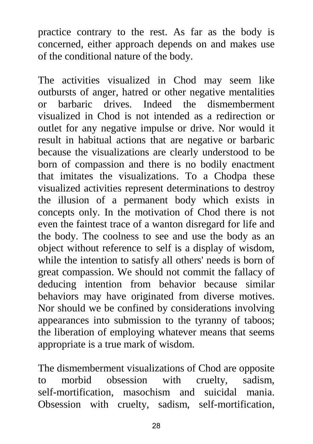practice contrary to the rest. As far as the body is concerned, either approach depends on and makes use of the conditional nature of the body.

The activities visualized in Chod may seem like outbursts of anger, hatred or other negative mentalities or barbaric drives. Indeed the dismemberment visualized in Chod is not intended as a redirection or outlet for any negative impulse or drive. Nor would it result in habitual actions that are negative or barbaric because the visualizations are clearly understood to be born of compassion and there is no bodily enactment that imitates the visualizations. To a Chodpa these visualized activities represent determinations to destroy the illusion of a permanent body which exists in concepts only. In the motivation of Chod there is not even the faintest trace of a wanton disregard for life and the body. The coolness to see and use the body as an object without reference to self is a display of wisdom, while the intention to satisfy all others' needs is born of great compassion. We should not commit the fallacy of deducing intention from behavior because similar behaviors may have originated from diverse motives. Nor should we be confined by considerations involving appearances into submission to the tyranny of taboos; the liberation of employing whatever means that seems appropriate is a true mark of wisdom.

The dismemberment visualizations of Chod are opposite to morbid obsession with cruelty, sadism, self-mortification, masochism and suicidal mania. Obsession with cruelty, sadism, self-mortification,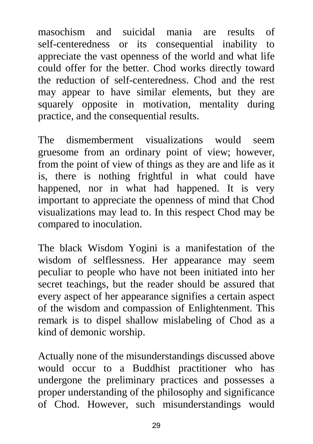masochism and suicidal mania are results of self-centeredness or its consequential inability to appreciate the vast openness of the world and what life could offer for the better. Chod works directly toward the reduction of self-centeredness. Chod and the rest may appear to have similar elements, but they are squarely opposite in motivation, mentality during practice, and the consequential results.

The dismemberment visualizations would seem gruesome from an ordinary point of view; however, from the point of view of things as they are and life as it is, there is nothing frightful in what could have happened, nor in what had happened. It is very important to appreciate the openness of mind that Chod visualizations may lead to. In this respect Chod may be compared to inoculation.

The black Wisdom Yogini is a manifestation of the wisdom of selflessness. Her appearance may seem peculiar to people who have not been initiated into her secret teachings, but the reader should be assured that every aspect of her appearance signifies a certain aspect of the wisdom and compassion of Enlightenment. This remark is to dispel shallow mislabeling of Chod as a kind of demonic worship.

Actually none of the misunderstandings discussed above would occur to a Buddhist practitioner who has undergone the preliminary practices and possesses a proper understanding of the philosophy and significance of Chod. However, such misunderstandings would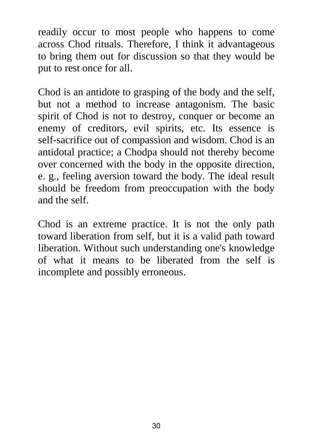readily occur to most people who happens to come across Chod rituals. Therefore, I think it advantageous to bring them out for discussion so that they would be put to rest once for all.

Chod is an antidote to grasping of the body and the self, but not a method to increase antagonism. The basic spirit of Chod is not to destroy, conquer or become an enemy of creditors, evil spirits, etc. Its essence is self-sacrifice out of compassion and wisdom. Chod is an antidotal practice; a Chodpa should not thereby become over concerned with the body in the opposite direction, e. g., feeling aversion toward the body. The ideal result should be freedom from preoccupation with the body and the self.

Chod is an extreme practice. It is not the only path toward liberation from self, but it is a valid path toward liberation. Without such understanding one's knowledge of what it means to be liberated from the self is incomplete and possibly erroneous.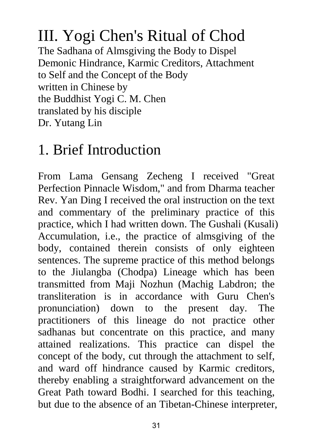# III. Yogi Chen's Ritual of Chod

The Sadhana of Almsgiving the Body to Dispel Demonic Hindrance, Karmic Creditors, Attachment to Self and the Concept of the Body written in Chinese by the Buddhist Yogi C. M. Chen translated by his disciple Dr. Yutang Lin

## 1. Brief Introduction

From Lama Gensang Zecheng I received "Great Perfection Pinnacle Wisdom," and from Dharma teacher Rev. Yan Ding I received the oral instruction on the text and commentary of the preliminary practice of this practice, which I had written down. The Gushali (Kusali) Accumulation, i.e., the practice of almsgiving of the body, contained therein consists of only eighteen sentences. The supreme practice of this method belongs to the Jiulangba (Chodpa) Lineage which has been transmitted from Maji Nozhun (Machig Labdron; the transliteration is in accordance with Guru Chen's pronunciation) down to the present day. The practitioners of this lineage do not practice other sadhanas but concentrate on this practice, and many attained realizations. This practice can dispel the concept of the body, cut through the attachment to self, and ward off hindrance caused by Karmic creditors, thereby enabling a straightforward advancement on the Great Path toward Bodhi. I searched for this teaching, but due to the absence of an Tibetan-Chinese interpreter,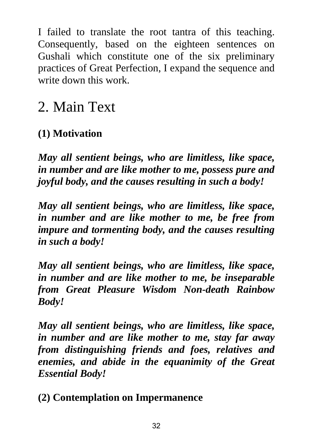I failed to translate the root tantra of this teaching. Consequently, based on the eighteen sentences on Gushali which constitute one of the six preliminary practices of Great Perfection, I expand the sequence and write down this work.

## 2. Main Text

### **(1) Motivation**

*May all sentient beings, who are limitless, like space, in number and are like mother to me, possess pure and joyful body, and the causes resulting in such a body!* 

*May all sentient beings, who are limitless, like space, in number and are like mother to me, be free from impure and tormenting body, and the causes resulting in such a body!* 

*May all sentient beings, who are limitless, like space, in number and are like mother to me, be inseparable from Great Pleasure Wisdom Non-death Rainbow Body!* 

*May all sentient beings, who are limitless, like space, in number and are like mother to me, stay far away from distinguishing friends and foes, relatives and enemies, and abide in the equanimity of the Great Essential Body!* 

**(2) Contemplation on Impermanence**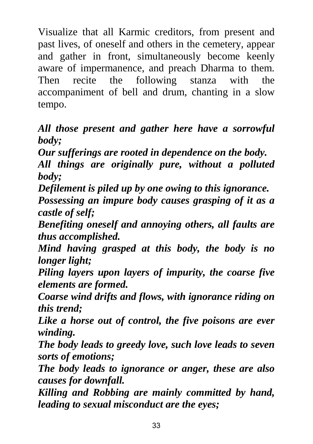Visualize that all Karmic creditors, from present and past lives, of oneself and others in the cemetery, appear and gather in front, simultaneously become keenly aware of impermanence, and preach Dharma to them. Then recite the following stanza with the accompaniment of bell and drum, chanting in a slow tempo.

#### *All those present and gather here have a sorrowful body;*

*Our sufferings are rooted in dependence on the body. All things are originally pure, without a polluted body;* 

*Defilement is piled up by one owing to this ignorance.* 

*Possessing an impure body causes grasping of it as a castle of self;* 

*Benefiting oneself and annoying others, all faults are thus accomplished.* 

*Mind having grasped at this body, the body is no longer light;* 

*Piling layers upon layers of impurity, the coarse five elements are formed.* 

*Coarse wind drifts and flows, with ignorance riding on this trend;* 

*Like a horse out of control, the five poisons are ever winding.* 

*The body leads to greedy love, such love leads to seven sorts of emotions;* 

*The body leads to ignorance or anger, these are also causes for downfall.* 

*Killing and Robbing are mainly committed by hand, leading to sexual misconduct are the eyes;*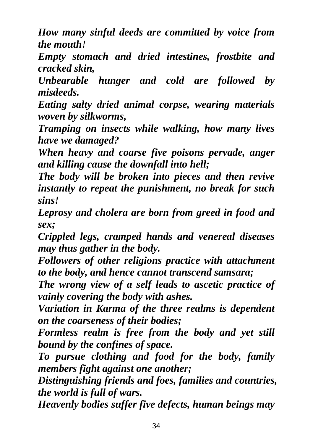*How many sinful deeds are committed by voice from the mouth!* 

*Empty stomach and dried intestines, frostbite and cracked skin,* 

*Unbearable hunger and cold are followed by misdeeds.* 

*Eating salty dried animal corpse, wearing materials woven by silkworms,* 

*Tramping on insects while walking, how many lives have we damaged?* 

*When heavy and coarse five poisons pervade, anger and killing cause the downfall into hell;* 

*The body will be broken into pieces and then revive instantly to repeat the punishment, no break for such sins!* 

*Leprosy and cholera are born from greed in food and sex;* 

*Crippled legs, cramped hands and venereal diseases may thus gather in the body.* 

*Followers of other religions practice with attachment to the body, and hence cannot transcend samsara;* 

*The wrong view of a self leads to ascetic practice of vainly covering the body with ashes.* 

*Variation in Karma of the three realms is dependent on the coarseness of their bodies;* 

*Formless realm is free from the body and yet still bound by the confines of space.* 

*To pursue clothing and food for the body, family members fight against one another;* 

*Distinguishing friends and foes, families and countries, the world is full of wars.* 

*Heavenly bodies suffer five defects, human beings may*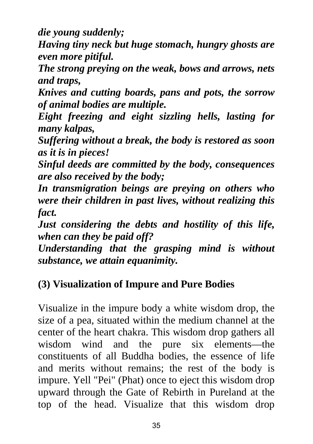*die young suddenly;* 

*Having tiny neck but huge stomach, hungry ghosts are even more pitiful.* 

*The strong preying on the weak, bows and arrows, nets and traps,* 

*Knives and cutting boards, pans and pots, the sorrow of animal bodies are multiple.* 

*Eight freezing and eight sizzling hells, lasting for many kalpas,* 

*Suffering without a break, the body is restored as soon as it is in pieces!* 

*Sinful deeds are committed by the body, consequences are also received by the body;* 

*In transmigration beings are preying on others who were their children in past lives, without realizing this fact.* 

*Just considering the debts and hostility of this life, when can they be paid off?* 

*Understanding that the grasping mind is without substance, we attain equanimity.* 

#### **(3) Visualization of Impure and Pure Bodies**

Visualize in the impure body a white wisdom drop, the size of a pea, situated within the medium channel at the center of the heart chakra. This wisdom drop gathers all wisdom wind and the pure six elements—the constituents of all Buddha bodies, the essence of life and merits without remains; the rest of the body is impure. Yell "Pei" (Phat) once to eject this wisdom drop upward through the Gate of Rebirth in Pureland at the top of the head. Visualize that this wisdom drop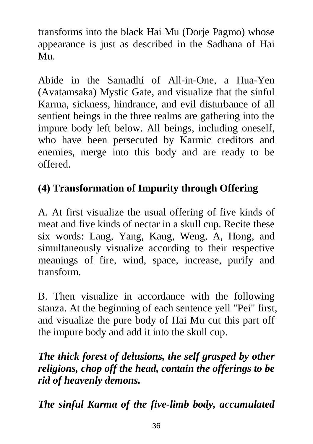transforms into the black Hai Mu (Dorje Pagmo) whose appearance is just as described in the Sadhana of Hai Mu.

Abide in the Samadhi of All-in-One, a Hua-Yen (Avatamsaka) Mystic Gate, and visualize that the sinful Karma, sickness, hindrance, and evil disturbance of all sentient beings in the three realms are gathering into the impure body left below. All beings, including oneself, who have been persecuted by Karmic creditors and enemies, merge into this body and are ready to be offered.

### **(4) Transformation of Impurity through Offering**

A. At first visualize the usual offering of five kinds of meat and five kinds of nectar in a skull cup. Recite these six words: Lang, Yang, Kang, Weng, A, Hong, and simultaneously visualize according to their respective meanings of fire, wind, space, increase, purify and transform.

B. Then visualize in accordance with the following stanza. At the beginning of each sentence yell "Pei" first, and visualize the pure body of Hai Mu cut this part off the impure body and add it into the skull cup.

#### *The thick forest of delusions, the self grasped by other religions, chop off the head, contain the offerings to be rid of heavenly demons.*

*The sinful Karma of the five-limb body, accumulated*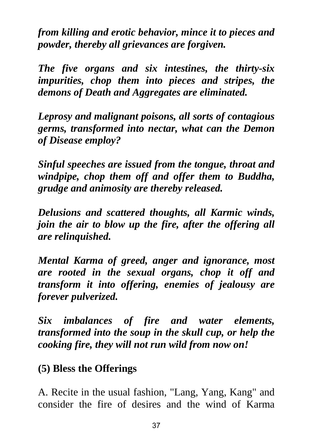*from killing and erotic behavior, mince it to pieces and powder, thereby all grievances are forgiven.* 

*The five organs and six intestines, the thirty-six impurities, chop them into pieces and stripes, the demons of Death and Aggregates are eliminated.* 

*Leprosy and malignant poisons, all sorts of contagious germs, transformed into nectar, what can the Demon of Disease employ?* 

*Sinful speeches are issued from the tongue, throat and windpipe, chop them off and offer them to Buddha, grudge and animosity are thereby released.* 

*Delusions and scattered thoughts, all Karmic winds, join the air to blow up the fire, after the offering all are relinquished.* 

*Mental Karma of greed, anger and ignorance, most are rooted in the sexual organs, chop it off and transform it into offering, enemies of jealousy are forever pulverized.* 

*Six imbalances of fire and water elements, transformed into the soup in the skull cup, or help the cooking fire, they will not run wild from now on!* 

#### **(5) Bless the Offerings**

A. Recite in the usual fashion, "Lang, Yang, Kang" and consider the fire of desires and the wind of Karma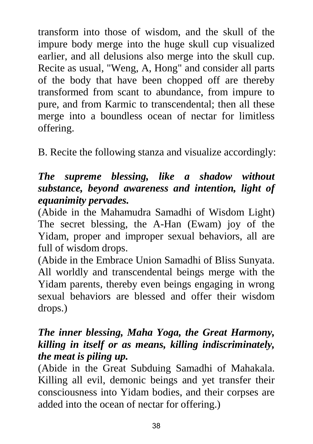transform into those of wisdom, and the skull of the impure body merge into the huge skull cup visualized earlier, and all delusions also merge into the skull cup. Recite as usual, "Weng, A, Hong" and consider all parts of the body that have been chopped off are thereby transformed from scant to abundance, from impure to pure, and from Karmic to transcendental; then all these merge into a boundless ocean of nectar for limitless offering.

B. Recite the following stanza and visualize accordingly:

#### *The supreme blessing, like a shadow without substance, beyond awareness and intention, light of equanimity pervades.*

(Abide in the Mahamudra Samadhi of Wisdom Light) The secret blessing, the A-Han (Ewam) joy of the Yidam, proper and improper sexual behaviors, all are full of wisdom drops.

(Abide in the Embrace Union Samadhi of Bliss Sunyata. All worldly and transcendental beings merge with the Yidam parents, thereby even beings engaging in wrong sexual behaviors are blessed and offer their wisdom drops.)

#### *The inner blessing, Maha Yoga, the Great Harmony, killing in itself or as means, killing indiscriminately, the meat is piling up.*

(Abide in the Great Subduing Samadhi of Mahakala. Killing all evil, demonic beings and yet transfer their consciousness into Yidam bodies, and their corpses are added into the ocean of nectar for offering.)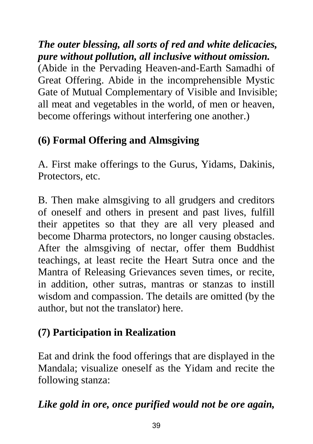*The outer blessing, all sorts of red and white delicacies, pure without pollution, all inclusive without omission.* 

(Abide in the Pervading Heaven-and-Earth Samadhi of Great Offering. Abide in the incomprehensible Mystic Gate of Mutual Complementary of Visible and Invisible; all meat and vegetables in the world, of men or heaven, become offerings without interfering one another.)

### **(6) Formal Offering and Almsgiving**

A. First make offerings to the Gurus, Yidams, Dakinis, Protectors, etc.

B. Then make almsgiving to all grudgers and creditors of oneself and others in present and past lives, fulfill their appetites so that they are all very pleased and become Dharma protectors, no longer causing obstacles. After the almsgiving of nectar, offer them Buddhist teachings, at least recite the Heart Sutra once and the Mantra of Releasing Grievances seven times, or recite, in addition, other sutras, mantras or stanzas to instill wisdom and compassion. The details are omitted (by the author, but not the translator) here.

### **(7) Participation in Realization**

Eat and drink the food offerings that are displayed in the Mandala; visualize oneself as the Yidam and recite the following stanza:

### *Like gold in ore, once purified would not be ore again,*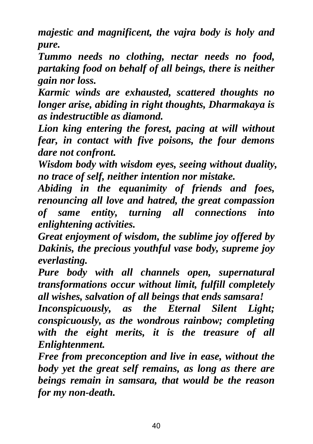*majestic and magnificent, the vajra body is holy and pure.* 

*Tummo needs no clothing, nectar needs no food, partaking food on behalf of all beings, there is neither gain nor loss.* 

*Karmic winds are exhausted, scattered thoughts no longer arise, abiding in right thoughts, Dharmakaya is as indestructible as diamond.* 

*Lion king entering the forest, pacing at will without fear, in contact with five poisons, the four demons dare not confront.* 

*Wisdom body with wisdom eyes, seeing without duality, no trace of self, neither intention nor mistake.* 

*Abiding in the equanimity of friends and foes, renouncing all love and hatred, the great compassion of same entity, turning all connections into enlightening activities.* 

*Great enjoyment of wisdom, the sublime joy offered by Dakinis, the precious youthful vase body, supreme joy everlasting.* 

*Pure body with all channels open, supernatural transformations occur without limit, fulfill completely all wishes, salvation of all beings that ends samsara!* 

*Inconspicuously, as the Eternal Silent Light; conspicuously, as the wondrous rainbow; completing with the eight merits, it is the treasure of all Enlightenment.* 

*Free from preconception and live in ease, without the body yet the great self remains, as long as there are beings remain in samsara, that would be the reason for my non-death.*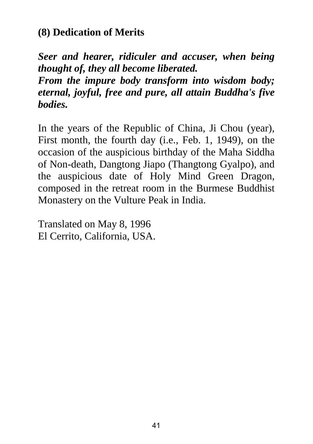#### **(8) Dedication of Merits**

*Seer and hearer, ridiculer and accuser, when being thought of, they all become liberated.* 

*From the impure body transform into wisdom body; eternal, joyful, free and pure, all attain Buddha's five bodies.* 

In the years of the Republic of China, Ji Chou (year), First month, the fourth day (i.e., Feb. 1, 1949), on the occasion of the auspicious birthday of the Maha Siddha of Non-death, Dangtong Jiapo (Thangtong Gyalpo), and the auspicious date of Holy Mind Green Dragon, composed in the retreat room in the Burmese Buddhist Monastery on the Vulture Peak in India.

Translated on May 8, 1996 El Cerrito, California, USA.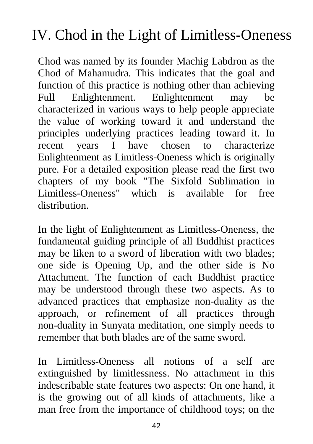# IV. Chod in the Light of Limitless-Oneness

Chod was named by its founder Machig Labdron as the Chod of Mahamudra. This indicates that the goal and function of this practice is nothing other than achieving Full Enlightenment. Enlightenment may be characterized in various ways to help people appreciate the value of working toward it and understand the principles underlying practices leading toward it. In recent years I have chosen to characterize Enlightenment as Limitless-Oneness which is originally pure. For a detailed exposition please read the first two chapters of my book "The Sixfold Sublimation in Limitless-Oneness" which is available for free distribution.

In the light of Enlightenment as Limitless-Oneness, the fundamental guiding principle of all Buddhist practices may be liken to a sword of liberation with two blades; one side is Opening Up, and the other side is No Attachment. The function of each Buddhist practice may be understood through these two aspects. As to advanced practices that emphasize non-duality as the approach, or refinement of all practices through non-duality in Sunyata meditation, one simply needs to remember that both blades are of the same sword.

In Limitless-Oneness all notions of a self are extinguished by limitlessness. No attachment in this indescribable state features two aspects: On one hand, it is the growing out of all kinds of attachments, like a man free from the importance of childhood toys; on the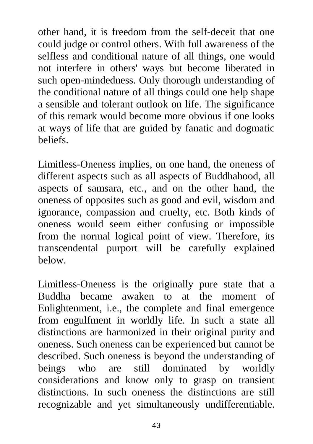other hand, it is freedom from the self-deceit that one could judge or control others. With full awareness of the selfless and conditional nature of all things, one would not interfere in others' ways but become liberated in such open-mindedness. Only thorough understanding of the conditional nature of all things could one help shape a sensible and tolerant outlook on life. The significance of this remark would become more obvious if one looks at ways of life that are guided by fanatic and dogmatic beliefs.

Limitless-Oneness implies, on one hand, the oneness of different aspects such as all aspects of Buddhahood, all aspects of samsara, etc., and on the other hand, the oneness of opposites such as good and evil, wisdom and ignorance, compassion and cruelty, etc. Both kinds of oneness would seem either confusing or impossible from the normal logical point of view. Therefore, its transcendental purport will be carefully explained below.

Limitless-Oneness is the originally pure state that a Buddha became awaken to at the moment of Enlightenment, i.e., the complete and final emergence from engulfment in worldly life. In such a state all distinctions are harmonized in their original purity and oneness. Such oneness can be experienced but cannot be described. Such oneness is beyond the understanding of beings who are still dominated by worldly considerations and know only to grasp on transient distinctions. In such oneness the distinctions are still recognizable and yet simultaneously undifferentiable.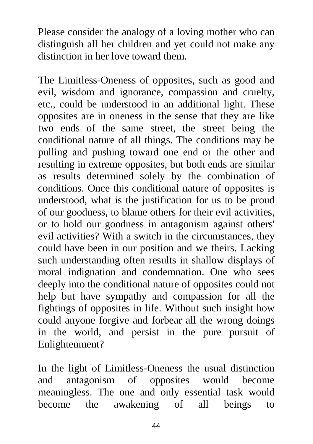Please consider the analogy of a loving mother who can distinguish all her children and yet could not make any distinction in her love toward them.

The Limitless-Oneness of opposites, such as good and evil, wisdom and ignorance, compassion and cruelty, etc., could be understood in an additional light. These opposites are in oneness in the sense that they are like two ends of the same street, the street being the conditional nature of all things. The conditions may be pulling and pushing toward one end or the other and resulting in extreme opposites, but both ends are similar as results determined solely by the combination of conditions. Once this conditional nature of opposites is understood, what is the justification for us to be proud of our goodness, to blame others for their evil activities, or to hold our goodness in antagonism against others' evil activities? With a switch in the circumstances, they could have been in our position and we theirs. Lacking such understanding often results in shallow displays of moral indignation and condemnation. One who sees deeply into the conditional nature of opposites could not help but have sympathy and compassion for all the fightings of opposites in life. Without such insight how could anyone forgive and forbear all the wrong doings in the world, and persist in the pure pursuit of Enlightenment?

In the light of Limitless-Oneness the usual distinction and antagonism of opposites would become meaningless. The one and only essential task would become the awakening of all beings to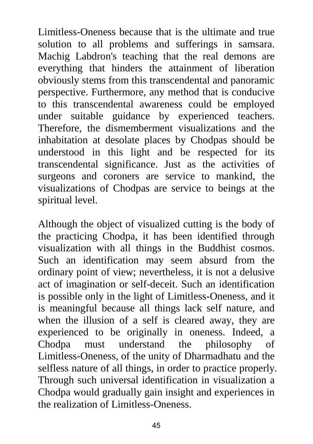Limitless-Oneness because that is the ultimate and true solution to all problems and sufferings in samsara. Machig Labdron's teaching that the real demons are everything that hinders the attainment of liberation obviously stems from this transcendental and panoramic perspective. Furthermore, any method that is conducive to this transcendental awareness could be employed under suitable guidance by experienced teachers. Therefore, the dismemberment visualizations and the inhabitation at desolate places by Chodpas should be understood in this light and be respected for its transcendental significance. Just as the activities of surgeons and coroners are service to mankind, the visualizations of Chodpas are service to beings at the spiritual level.

Although the object of visualized cutting is the body of the practicing Chodpa, it has been identified through visualization with all things in the Buddhist cosmos. Such an identification may seem absurd from the ordinary point of view; nevertheless, it is not a delusive act of imagination or self-deceit. Such an identification is possible only in the light of Limitless-Oneness, and it is meaningful because all things lack self nature, and when the illusion of a self is cleared away, they are experienced to be originally in oneness. Indeed, a Chodpa must understand the philosophy of Limitless-Oneness, of the unity of Dharmadhatu and the selfless nature of all things, in order to practice properly. Through such universal identification in visualization a Chodpa would gradually gain insight and experiences in the realization of Limitless-Oneness.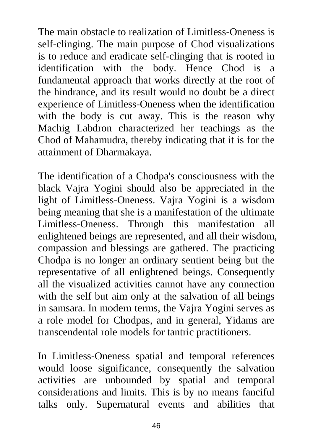The main obstacle to realization of Limitless-Oneness is self-clinging. The main purpose of Chod visualizations is to reduce and eradicate self-clinging that is rooted in identification with the body. Hence Chod is a fundamental approach that works directly at the root of the hindrance, and its result would no doubt be a direct experience of Limitless-Oneness when the identification with the body is cut away. This is the reason why Machig Labdron characterized her teachings as the Chod of Mahamudra, thereby indicating that it is for the attainment of Dharmakaya.

The identification of a Chodpa's consciousness with the black Vajra Yogini should also be appreciated in the light of Limitless-Oneness. Vajra Yogini is a wisdom being meaning that she is a manifestation of the ultimate Limitless-Oneness. Through this manifestation all enlightened beings are represented, and all their wisdom, compassion and blessings are gathered. The practicing Chodpa is no longer an ordinary sentient being but the representative of all enlightened beings. Consequently all the visualized activities cannot have any connection with the self but aim only at the salvation of all beings in samsara. In modern terms, the Vajra Yogini serves as a role model for Chodpas, and in general, Yidams are transcendental role models for tantric practitioners.

In Limitless-Oneness spatial and temporal references would loose significance, consequently the salvation activities are unbounded by spatial and temporal considerations and limits. This is by no means fanciful talks only. Supernatural events and abilities that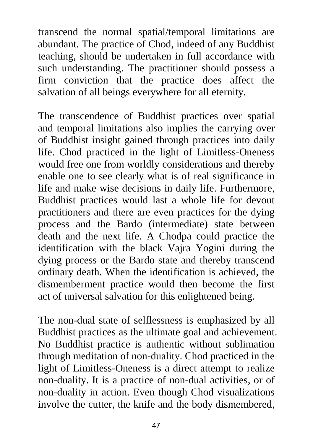transcend the normal spatial/temporal limitations are abundant. The practice of Chod, indeed of any Buddhist teaching, should be undertaken in full accordance with such understanding. The practitioner should possess a firm conviction that the practice does affect the salvation of all beings everywhere for all eternity.

The transcendence of Buddhist practices over spatial and temporal limitations also implies the carrying over of Buddhist insight gained through practices into daily life. Chod practiced in the light of Limitless-Oneness would free one from worldly considerations and thereby enable one to see clearly what is of real significance in life and make wise decisions in daily life. Furthermore, Buddhist practices would last a whole life for devout practitioners and there are even practices for the dying process and the Bardo (intermediate) state between death and the next life. A Chodpa could practice the identification with the black Vajra Yogini during the dying process or the Bardo state and thereby transcend ordinary death. When the identification is achieved, the dismemberment practice would then become the first act of universal salvation for this enlightened being.

The non-dual state of selflessness is emphasized by all Buddhist practices as the ultimate goal and achievement. No Buddhist practice is authentic without sublimation through meditation of non-duality. Chod practiced in the light of Limitless-Oneness is a direct attempt to realize non-duality. It is a practice of non-dual activities, or of non-duality in action. Even though Chod visualizations involve the cutter, the knife and the body dismembered,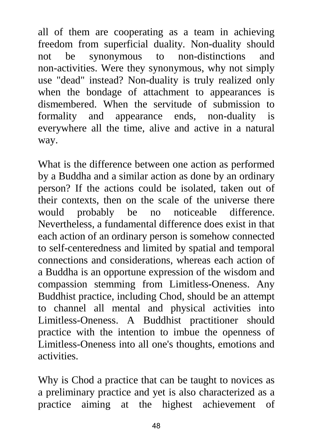all of them are cooperating as a team in achieving freedom from superficial duality. Non-duality should not be synonymous to non-distinctions and non-activities. Were they synonymous, why not simply use "dead" instead? Non-duality is truly realized only when the bondage of attachment to appearances is dismembered. When the servitude of submission to formality and appearance ends, non-duality is everywhere all the time, alive and active in a natural way.

What is the difference between one action as performed by a Buddha and a similar action as done by an ordinary person? If the actions could be isolated, taken out of their contexts, then on the scale of the universe there would probably be no noticeable difference. Nevertheless, a fundamental difference does exist in that each action of an ordinary person is somehow connected to self-centeredness and limited by spatial and temporal connections and considerations, whereas each action of a Buddha is an opportune expression of the wisdom and compassion stemming from Limitless-Oneness. Any Buddhist practice, including Chod, should be an attempt to channel all mental and physical activities into Limitless-Oneness. A Buddhist practitioner should practice with the intention to imbue the openness of Limitless-Oneness into all one's thoughts, emotions and activities.

Why is Chod a practice that can be taught to novices as a preliminary practice and yet is also characterized as a practice aiming at the highest achievement of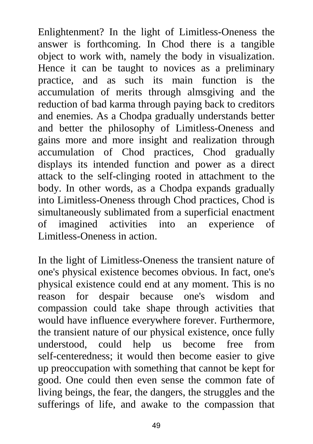Enlightenment? In the light of Limitless-Oneness the answer is forthcoming. In Chod there is a tangible object to work with, namely the body in visualization. Hence it can be taught to novices as a preliminary practice, and as such its main function is the accumulation of merits through almsgiving and the reduction of bad karma through paying back to creditors and enemies. As a Chodpa gradually understands better and better the philosophy of Limitless-Oneness and gains more and more insight and realization through accumulation of Chod practices, Chod gradually displays its intended function and power as a direct attack to the self-clinging rooted in attachment to the body. In other words, as a Chodpa expands gradually into Limitless-Oneness through Chod practices, Chod is simultaneously sublimated from a superficial enactment of imagined activities into an experience of Limitless-Oneness in action.

In the light of Limitless-Oneness the transient nature of one's physical existence becomes obvious. In fact, one's physical existence could end at any moment. This is no reason for despair because one's wisdom and compassion could take shape through activities that would have influence everywhere forever. Furthermore, the transient nature of our physical existence, once fully understood, could help us become free from self-centeredness; it would then become easier to give up preoccupation with something that cannot be kept for good. One could then even sense the common fate of living beings, the fear, the dangers, the struggles and the sufferings of life, and awake to the compassion that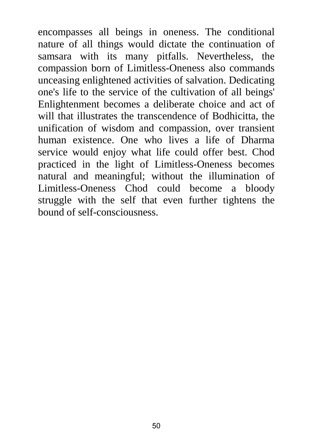encompasses all beings in oneness. The conditional nature of all things would dictate the continuation of samsara with its many pitfalls. Nevertheless, the compassion born of Limitless-Oneness also commands unceasing enlightened activities of salvation. Dedicating one's life to the service of the cultivation of all beings' Enlightenment becomes a deliberate choice and act of will that illustrates the transcendence of Bodhicitta, the unification of wisdom and compassion, over transient human existence. One who lives a life of Dharma service would enjoy what life could offer best. Chod practiced in the light of Limitless-Oneness becomes natural and meaningful; without the illumination of Limitless-Oneness Chod could become a bloody struggle with the self that even further tightens the bound of self-consciousness.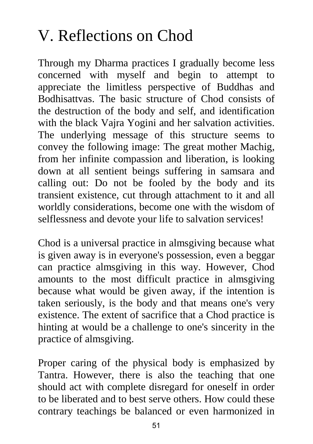# V. Reflections on Chod

Through my Dharma practices I gradually become less concerned with myself and begin to attempt to appreciate the limitless perspective of Buddhas and Bodhisattvas. The basic structure of Chod consists of the destruction of the body and self, and identification with the black Vajra Yogini and her salvation activities. The underlying message of this structure seems to convey the following image: The great mother Machig, from her infinite compassion and liberation, is looking down at all sentient beings suffering in samsara and calling out: Do not be fooled by the body and its transient existence, cut through attachment to it and all worldly considerations, become one with the wisdom of selflessness and devote your life to salvation services!

Chod is a universal practice in almsgiving because what is given away is in everyone's possession, even a beggar can practice almsgiving in this way. However, Chod amounts to the most difficult practice in almsgiving because what would be given away, if the intention is taken seriously, is the body and that means one's very existence. The extent of sacrifice that a Chod practice is hinting at would be a challenge to one's sincerity in the practice of almsgiving.

Proper caring of the physical body is emphasized by Tantra. However, there is also the teaching that one should act with complete disregard for oneself in order to be liberated and to best serve others. How could these contrary teachings be balanced or even harmonized in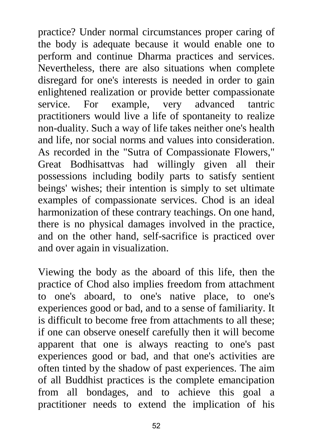practice? Under normal circumstances proper caring of the body is adequate because it would enable one to perform and continue Dharma practices and services. Nevertheless, there are also situations when complete disregard for one's interests is needed in order to gain enlightened realization or provide better compassionate service. For example, very advanced tantric practitioners would live a life of spontaneity to realize non-duality. Such a way of life takes neither one's health and life, nor social norms and values into consideration. As recorded in the "Sutra of Compassionate Flowers," Great Bodhisattvas had willingly given all their possessions including bodily parts to satisfy sentient beings' wishes; their intention is simply to set ultimate examples of compassionate services. Chod is an ideal harmonization of these contrary teachings. On one hand, there is no physical damages involved in the practice, and on the other hand, self-sacrifice is practiced over and over again in visualization.

Viewing the body as the aboard of this life, then the practice of Chod also implies freedom from attachment to one's aboard, to one's native place, to one's experiences good or bad, and to a sense of familiarity. It is difficult to become free from attachments to all these; if one can observe oneself carefully then it will become apparent that one is always reacting to one's past experiences good or bad, and that one's activities are often tinted by the shadow of past experiences. The aim of all Buddhist practices is the complete emancipation from all bondages, and to achieve this goal a practitioner needs to extend the implication of his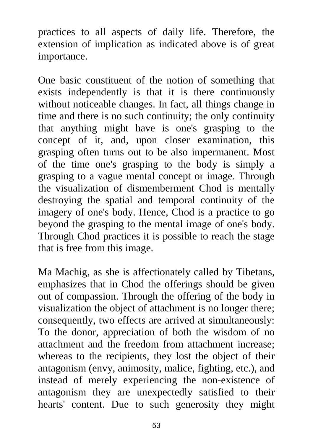practices to all aspects of daily life. Therefore, the extension of implication as indicated above is of great importance.

One basic constituent of the notion of something that exists independently is that it is there continuously without noticeable changes. In fact, all things change in time and there is no such continuity; the only continuity that anything might have is one's grasping to the concept of it, and, upon closer examination, this grasping often turns out to be also impermanent. Most of the time one's grasping to the body is simply a grasping to a vague mental concept or image. Through the visualization of dismemberment Chod is mentally destroying the spatial and temporal continuity of the imagery of one's body. Hence, Chod is a practice to go beyond the grasping to the mental image of one's body. Through Chod practices it is possible to reach the stage that is free from this image.

Ma Machig, as she is affectionately called by Tibetans, emphasizes that in Chod the offerings should be given out of compassion. Through the offering of the body in visualization the object of attachment is no longer there; consequently, two effects are arrived at simultaneously: To the donor, appreciation of both the wisdom of no attachment and the freedom from attachment increase; whereas to the recipients, they lost the object of their antagonism (envy, animosity, malice, fighting, etc.), and instead of merely experiencing the non-existence of antagonism they are unexpectedly satisfied to their hearts' content. Due to such generosity they might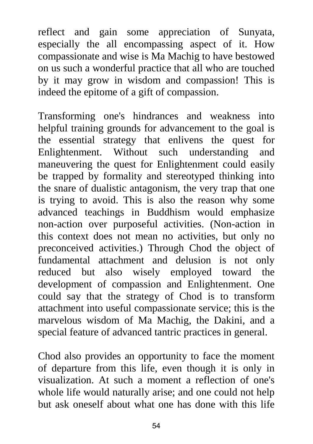reflect and gain some appreciation of Sunyata, especially the all encompassing aspect of it. How compassionate and wise is Ma Machig to have bestowed on us such a wonderful practice that all who are touched by it may grow in wisdom and compassion! This is indeed the epitome of a gift of compassion.

Transforming one's hindrances and weakness into helpful training grounds for advancement to the goal is the essential strategy that enlivens the quest for Enlightenment. Without such understanding and maneuvering the quest for Enlightenment could easily be trapped by formality and stereotyped thinking into the snare of dualistic antagonism, the very trap that one is trying to avoid. This is also the reason why some advanced teachings in Buddhism would emphasize non-action over purposeful activities. (Non-action in this context does not mean no activities, but only no preconceived activities.) Through Chod the object of fundamental attachment and delusion is not only reduced but also wisely employed toward the development of compassion and Enlightenment. One could say that the strategy of Chod is to transform attachment into useful compassionate service; this is the marvelous wisdom of Ma Machig, the Dakini, and a special feature of advanced tantric practices in general.

Chod also provides an opportunity to face the moment of departure from this life, even though it is only in visualization. At such a moment a reflection of one's whole life would naturally arise; and one could not help but ask oneself about what one has done with this life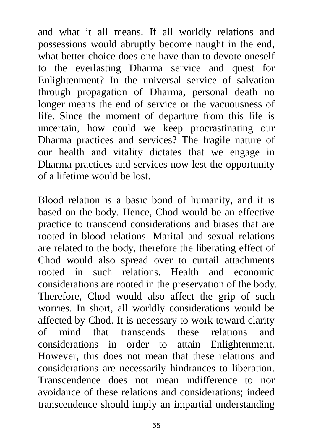and what it all means. If all worldly relations and possessions would abruptly become naught in the end, what better choice does one have than to devote oneself to the everlasting Dharma service and quest for Enlightenment? In the universal service of salvation through propagation of Dharma, personal death no longer means the end of service or the vacuousness of life. Since the moment of departure from this life is uncertain, how could we keep procrastinating our Dharma practices and services? The fragile nature of our health and vitality dictates that we engage in Dharma practices and services now lest the opportunity of a lifetime would be lost.

Blood relation is a basic bond of humanity, and it is based on the body. Hence, Chod would be an effective practice to transcend considerations and biases that are rooted in blood relations. Marital and sexual relations are related to the body, therefore the liberating effect of Chod would also spread over to curtail attachments rooted in such relations. Health and economic considerations are rooted in the preservation of the body. Therefore, Chod would also affect the grip of such worries. In short, all worldly considerations would be affected by Chod. It is necessary to work toward clarity of mind that transcends these relations and considerations in order to attain Enlightenment. However, this does not mean that these relations and considerations are necessarily hindrances to liberation. Transcendence does not mean indifference to nor avoidance of these relations and considerations; indeed transcendence should imply an impartial understanding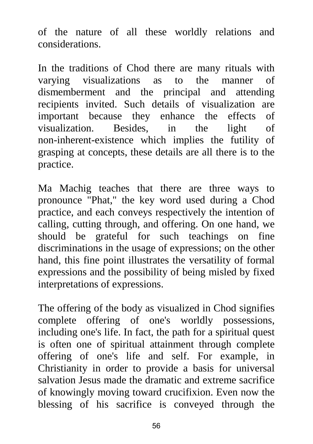of the nature of all these worldly relations and considerations.

In the traditions of Chod there are many rituals with varying visualizations as to the manner of dismemberment and the principal and attending recipients invited. Such details of visualization are important because they enhance the effects of visualization. Besides, in the light of non-inherent-existence which implies the futility of grasping at concepts, these details are all there is to the practice.

Ma Machig teaches that there are three ways to pronounce "Phat," the key word used during a Chod practice, and each conveys respectively the intention of calling, cutting through, and offering. On one hand, we should be grateful for such teachings on fine discriminations in the usage of expressions; on the other hand, this fine point illustrates the versatility of formal expressions and the possibility of being misled by fixed interpretations of expressions.

The offering of the body as visualized in Chod signifies complete offering of one's worldly possessions, including one's life. In fact, the path for a spiritual quest is often one of spiritual attainment through complete offering of one's life and self. For example, in Christianity in order to provide a basis for universal salvation Jesus made the dramatic and extreme sacrifice of knowingly moving toward crucifixion. Even now the blessing of his sacrifice is conveyed through the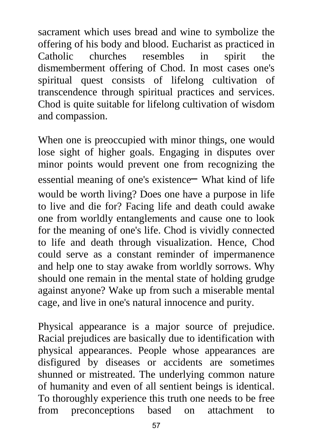sacrament which uses bread and wine to symbolize the offering of his body and blood. Eucharist as practiced in Catholic churches resembles in spirit the dismemberment offering of Chod. In most cases one's spiritual quest consists of lifelong cultivation of transcendence through spiritual practices and services. Chod is quite suitable for lifelong cultivation of wisdom and compassion.

When one is preoccupied with minor things, one would lose sight of higher goals. Engaging in disputes over minor points would prevent one from recognizing the essential meaning of one's existence− What kind of life would be worth living? Does one have a purpose in life to live and die for? Facing life and death could awake one from worldly entanglements and cause one to look for the meaning of one's life. Chod is vividly connected to life and death through visualization. Hence, Chod could serve as a constant reminder of impermanence and help one to stay awake from worldly sorrows. Why should one remain in the mental state of holding grudge against anyone? Wake up from such a miserable mental cage, and live in one's natural innocence and purity.

Physical appearance is a major source of prejudice. Racial prejudices are basically due to identification with physical appearances. People whose appearances are disfigured by diseases or accidents are sometimes shunned or mistreated. The underlying common nature of humanity and even of all sentient beings is identical. To thoroughly experience this truth one needs to be free from preconceptions based on attachment to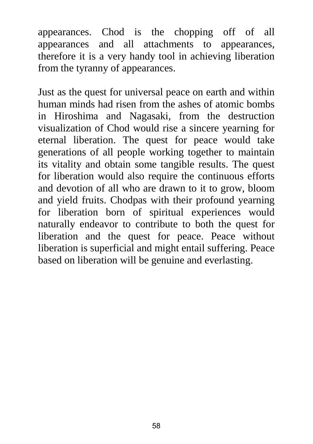appearances. Chod is the chopping off of all appearances and all attachments to appearances, therefore it is a very handy tool in achieving liberation from the tyranny of appearances.

Just as the quest for universal peace on earth and within human minds had risen from the ashes of atomic bombs in Hiroshima and Nagasaki, from the destruction visualization of Chod would rise a sincere yearning for eternal liberation. The quest for peace would take generations of all people working together to maintain its vitality and obtain some tangible results. The quest for liberation would also require the continuous efforts and devotion of all who are drawn to it to grow, bloom and yield fruits. Chodpas with their profound yearning for liberation born of spiritual experiences would naturally endeavor to contribute to both the quest for liberation and the quest for peace. Peace without liberation is superficial and might entail suffering. Peace based on liberation will be genuine and everlasting.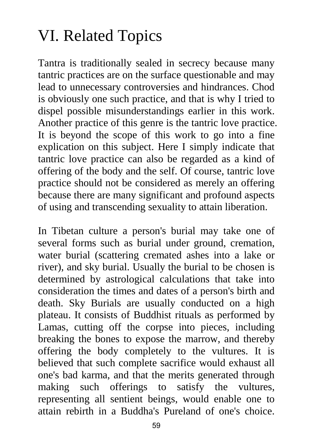# VI. Related Topics

Tantra is traditionally sealed in secrecy because many tantric practices are on the surface questionable and may lead to unnecessary controversies and hindrances. Chod is obviously one such practice, and that is why I tried to dispel possible misunderstandings earlier in this work. Another practice of this genre is the tantric love practice. It is beyond the scope of this work to go into a fine explication on this subject. Here I simply indicate that tantric love practice can also be regarded as a kind of offering of the body and the self. Of course, tantric love practice should not be considered as merely an offering because there are many significant and profound aspects of using and transcending sexuality to attain liberation.

In Tibetan culture a person's burial may take one of several forms such as burial under ground, cremation, water burial (scattering cremated ashes into a lake or river), and sky burial. Usually the burial to be chosen is determined by astrological calculations that take into consideration the times and dates of a person's birth and death. Sky Burials are usually conducted on a high plateau. It consists of Buddhist rituals as performed by Lamas, cutting off the corpse into pieces, including breaking the bones to expose the marrow, and thereby offering the body completely to the vultures. It is believed that such complete sacrifice would exhaust all one's bad karma, and that the merits generated through making such offerings to satisfy the vultures, representing all sentient beings, would enable one to attain rebirth in a Buddha's Pureland of one's choice.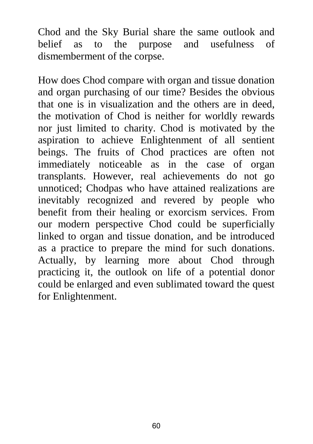Chod and the Sky Burial share the same outlook and belief as to the purpose and usefulness of dismemberment of the corpse.

How does Chod compare with organ and tissue donation and organ purchasing of our time? Besides the obvious that one is in visualization and the others are in deed, the motivation of Chod is neither for worldly rewards nor just limited to charity. Chod is motivated by the aspiration to achieve Enlightenment of all sentient beings. The fruits of Chod practices are often not immediately noticeable as in the case of organ transplants. However, real achievements do not go unnoticed; Chodpas who have attained realizations are inevitably recognized and revered by people who benefit from their healing or exorcism services. From our modern perspective Chod could be superficially linked to organ and tissue donation, and be introduced as a practice to prepare the mind for such donations. Actually, by learning more about Chod through practicing it, the outlook on life of a potential donor could be enlarged and even sublimated toward the quest for Enlightenment.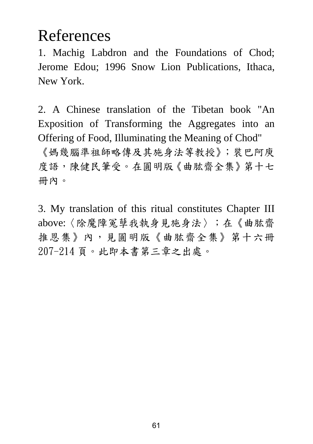# References

1. Machig Labdron and the Foundations of Chod; Jerome Edou; 1996 Snow Lion Publications, Ithaca, New York.

2. A Chinese translation of the Tibetan book "An Exposition of Transforming the Aggregates into an Offering of Food, Illuminating the Meaning of Chod"

《媽幾腦準祖師略傳及其施身法等教授》;裝巴阿庾 度語,陳健民筆受。在圓明版《曲肱齋全集》第十七 冊內。

3. My translation of this ritual constitutes Chapter III above:〈除魔障冤孽我執身見施身法〉;在《曲肱齋 推恩集》內,見圓明版《曲肱齋全集》第十六冊 207-214 頁。此即本書第三章之出處。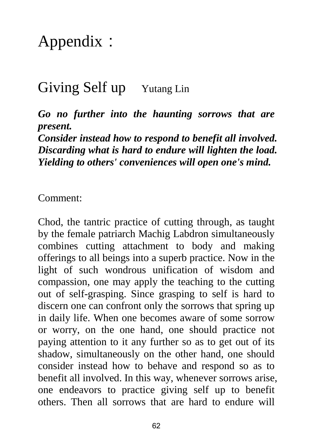# Appendix:

### Giving Self up Yutang Lin

*Go no further into the haunting sorrows that are present.* 

*Consider instead how to respond to benefit all involved. Discarding what is hard to endure will lighten the load. Yielding to others' conveniences will open one's mind.* 

Comment:

Chod, the tantric practice of cutting through, as taught by the female patriarch Machig Labdron simultaneously combines cutting attachment to body and making offerings to all beings into a superb practice. Now in the light of such wondrous unification of wisdom and compassion, one may apply the teaching to the cutting out of self-grasping. Since grasping to self is hard to discern one can confront only the sorrows that spring up in daily life. When one becomes aware of some sorrow or worry, on the one hand, one should practice not paying attention to it any further so as to get out of its shadow, simultaneously on the other hand, one should consider instead how to behave and respond so as to benefit all involved. In this way, whenever sorrows arise, one endeavors to practice giving self up to benefit others. Then all sorrows that are hard to endure will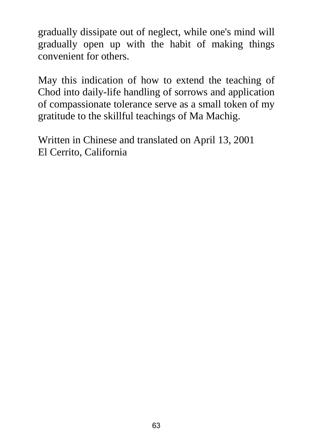gradually dissipate out of neglect, while one's mind will gradually open up with the habit of making things convenient for others.

May this indication of how to extend the teaching of Chod into daily-life handling of sorrows and application of compassionate tolerance serve as a small token of my gratitude to the skillful teachings of Ma Machig.

Written in Chinese and translated on April 13, 2001 El Cerrito, California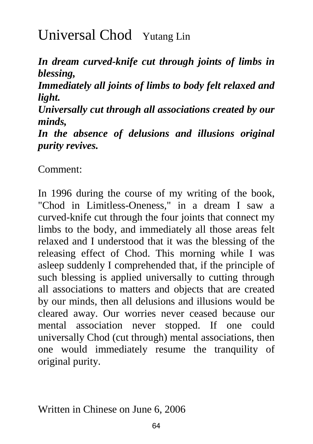# Universal Chod Yutang Lin

*In dream curved-knife cut through joints of limbs in blessing,* 

*Immediately all joints of limbs to body felt relaxed and light.* 

*Universally cut through all associations created by our minds,* 

*In the absence of delusions and illusions original purity revives.* 

Comment:

In 1996 during the course of my writing of the book, "Chod in Limitless-Oneness," in a dream I saw a curved-knife cut through the four joints that connect my limbs to the body, and immediately all those areas felt relaxed and I understood that it was the blessing of the releasing effect of Chod. This morning while I was asleep suddenly I comprehended that, if the principle of such blessing is applied universally to cutting through all associations to matters and objects that are created by our minds, then all delusions and illusions would be cleared away. Our worries never ceased because our mental association never stopped. If one could universally Chod (cut through) mental associations, then one would immediately resume the tranquility of original purity.

Written in Chinese on June 6, 2006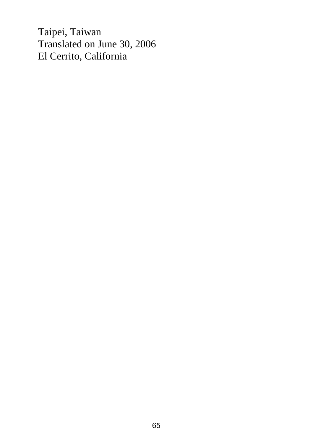Taipei, Taiwan Translated on June 30, 2006 El Cerrito, California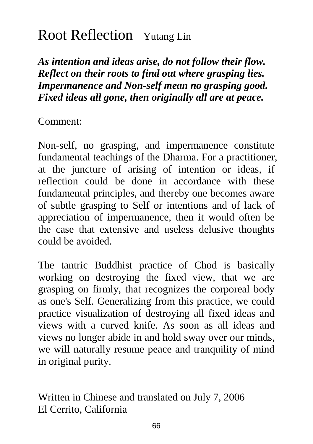## Root Reflection Yutang Lin

*As intention and ideas arise, do not follow their flow. Reflect on their roots to find out where grasping lies. Impermanence and Non-self mean no grasping good. Fixed ideas all gone, then originally all are at peace.* 

Comment:

Non-self, no grasping, and impermanence constitute fundamental teachings of the Dharma. For a practitioner, at the juncture of arising of intention or ideas, if reflection could be done in accordance with these fundamental principles, and thereby one becomes aware of subtle grasping to Self or intentions and of lack of appreciation of impermanence, then it would often be the case that extensive and useless delusive thoughts could be avoided.

The tantric Buddhist practice of Chod is basically working on destroying the fixed view, that we are grasping on firmly, that recognizes the corporeal body as one's Self. Generalizing from this practice, we could practice visualization of destroying all fixed ideas and views with a curved knife. As soon as all ideas and views no longer abide in and hold sway over our minds, we will naturally resume peace and tranquility of mind in original purity.

Written in Chinese and translated on July 7, 2006 El Cerrito, California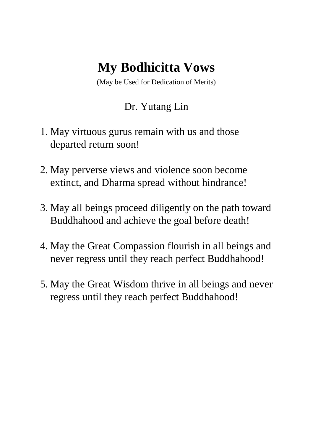## **My Bodhicitta Vows**

(May be Used for Dedication of Merits)

#### Dr. Yutang Lin

- 1. May virtuous gurus remain with us and those departed return soon!
- 2. May perverse views and violence soon become extinct, and Dharma spread without hindrance!
- 3. May all beings proceed diligently on the path toward Buddhahood and achieve the goal before death!
- 4. May the Great Compassion flourish in all beings and never regress until they reach perfect Buddhahood!
- 5. May the Great Wisdom thrive in all beings and never regress until they reach perfect Buddhahood!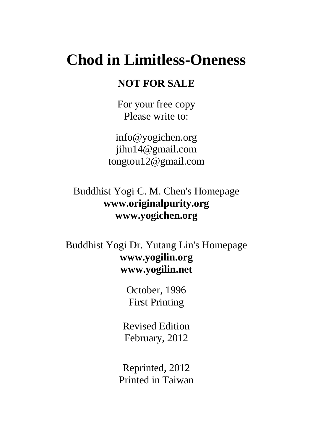## **Chod in Limitless-Oneness**

#### **NOT FOR SALE**

For your free copy Please write to:

info@yogichen.org jihu14@gmail.com tongtou12@gmail.com

Buddhist Yogi C. M. Chen's Homepage **www.originalpurity.org www.yogichen.org** 

Buddhist Yogi Dr. Yutang Lin's Homepage **www.yogilin.org www.yogilin.net** 

> October, 1996 First Printing

Revised Edition February, 2012

Reprinted, 2012 Printed in Taiwan